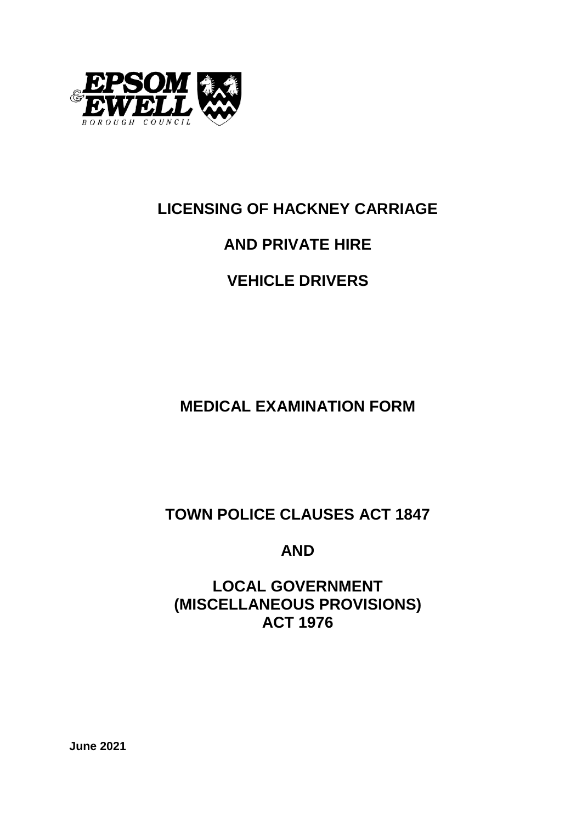

# **LICENSING OF HACKNEY CARRIAGE**

# **AND PRIVATE HIRE**

# **VEHICLE DRIVERS**

**MEDICAL EXAMINATION FORM**

**TOWN POLICE CLAUSES ACT 1847**

**AND**

**LOCAL GOVERNMENT (MISCELLANEOUS PROVISIONS) ACT 1976**

**June 2021**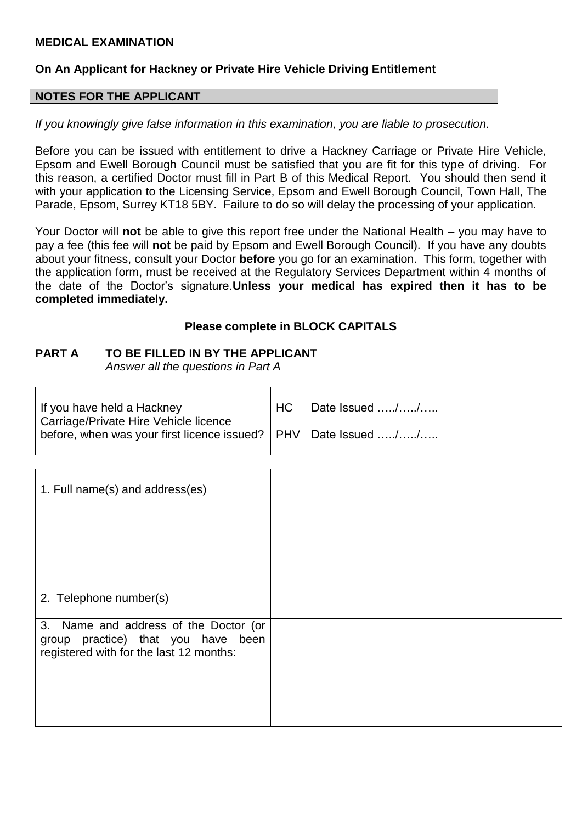#### **MEDICAL EXAMINATION**

#### **On An Applicant for Hackney or Private Hire Vehicle Driving Entitlement**

#### **NOTES FOR THE APPLICANT**

*If you knowingly give false information in this examination, you are liable to prosecution.*

Before you can be issued with entitlement to drive a Hackney Carriage or Private Hire Vehicle, Epsom and Ewell Borough Council must be satisfied that you are fit for this type of driving. For this reason, a certified Doctor must fill in Part B of this Medical Report. You should then send it with your application to the Licensing Service, Epsom and Ewell Borough Council, Town Hall, The Parade, Epsom, Surrey KT18 5BY. Failure to do so will delay the processing of your application.

Your Doctor will **not** be able to give this report free under the National Health – you may have to pay a fee (this fee will **not** be paid by Epsom and Ewell Borough Council). If you have any doubts about your fitness, consult your Doctor **before** you go for an examination. This form, together with the application form, must be received at the Regulatory Services Department within 4 months of the date of the Doctor's signature.**Unless your medical has expired then it has to be completed immediately.**

#### **Please complete in BLOCK CAPITALS**

#### **PART A TO BE FILLED IN BY THE APPLICANT**

*Answer all the questions in Part A*

| If you have held a Hackney<br>Carriage/Private Hire Vehicle licence | HC. | Date Issued // |
|---------------------------------------------------------------------|-----|----------------|
| before, when was your first licence issued?   PHV Date Issued //    |     |                |

| 1. Full name(s) and address(es)                                                                                        |  |
|------------------------------------------------------------------------------------------------------------------------|--|
| 2. Telephone number(s)                                                                                                 |  |
| 3. Name and address of the Doctor (or<br>group practice) that you have been<br>registered with for the last 12 months: |  |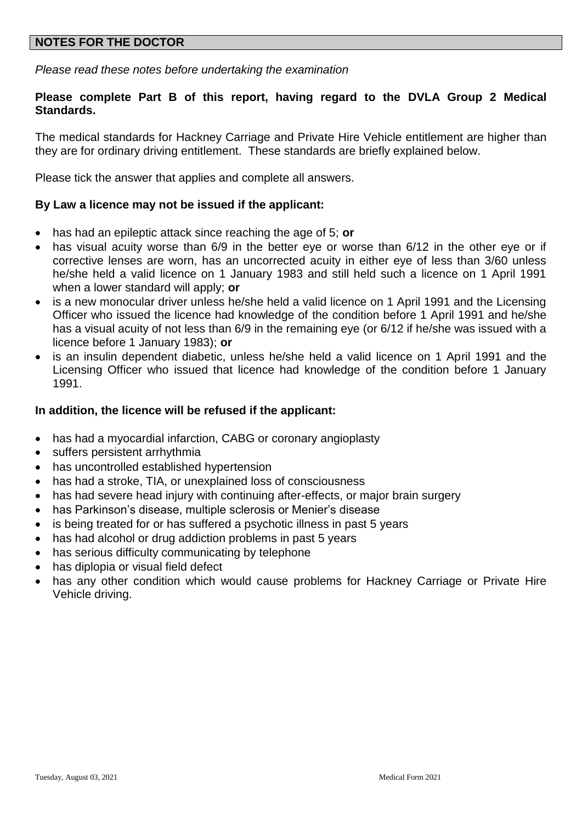#### **NOTES FOR THE DOCTOR**

*Please read these notes before undertaking the examination*

#### **Please complete Part B of this report, having regard to the DVLA Group 2 Medical Standards.**

The medical standards for Hackney Carriage and Private Hire Vehicle entitlement are higher than they are for ordinary driving entitlement. These standards are briefly explained below.

Please tick the answer that applies and complete all answers.

#### **By Law a licence may not be issued if the applicant:**

- has had an epileptic attack since reaching the age of 5; **or**
- has visual acuity worse than 6/9 in the better eye or worse than 6/12 in the other eye or if corrective lenses are worn, has an uncorrected acuity in either eye of less than 3/60 unless he/she held a valid licence on 1 January 1983 and still held such a licence on 1 April 1991 when a lower standard will apply; **or**
- is a new monocular driver unless he/she held a valid licence on 1 April 1991 and the Licensing Officer who issued the licence had knowledge of the condition before 1 April 1991 and he/she has a visual acuity of not less than 6/9 in the remaining eye (or 6/12 if he/she was issued with a licence before 1 January 1983); **or**
- is an insulin dependent diabetic, unless he/she held a valid licence on 1 April 1991 and the Licensing Officer who issued that licence had knowledge of the condition before 1 January 1991.

#### **In addition, the licence will be refused if the applicant:**

- has had a myocardial infarction, CABG or coronary angioplasty
- suffers persistent arrhythmia
- has uncontrolled established hypertension
- has had a stroke, TIA, or unexplained loss of consciousness
- has had severe head injury with continuing after-effects, or major brain surgery
- has Parkinson's disease, multiple sclerosis or Menier's disease
- is being treated for or has suffered a psychotic illness in past 5 years
- has had alcohol or drug addiction problems in past 5 years
- has serious difficulty communicating by telephone
- has diplopia or visual field defect
- has any other condition which would cause problems for Hackney Carriage or Private Hire Vehicle driving.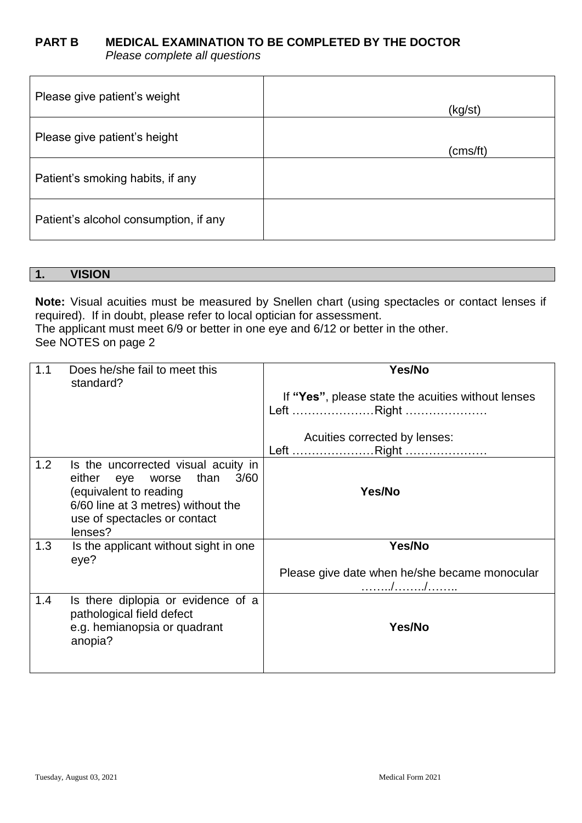#### **PART B MEDICAL EXAMINATION TO BE COMPLETED BY THE DOCTOR** *Please complete all questions*

| Please give patient's weight          | (kg/st)  |
|---------------------------------------|----------|
| Please give patient's height          | (cms/ft) |
| Patient's smoking habits, if any      |          |
| Patient's alcohol consumption, if any |          |

#### **1. VISION**

**Note:** Visual acuities must be measured by Snellen chart (using spectacles or contact lenses if required). If in doubt, please refer to local optician for assessment. The applicant must meet 6/9 or better in one eye and 6/12 or better in the other. See NOTES on page 2

| 1.1 | Does he/she fail to meet this<br>standard?                                                                                                                                         | Yes/No                                                           |
|-----|------------------------------------------------------------------------------------------------------------------------------------------------------------------------------------|------------------------------------------------------------------|
|     |                                                                                                                                                                                    | If "Yes", please state the acuities without lenses<br>Left Right |
|     |                                                                                                                                                                                    | Acuities corrected by lenses:<br>Left Right                      |
| 1.2 | Is the uncorrected visual acuity in<br>either eye worse<br>than<br>3/60<br>(equivalent to reading<br>6/60 line at 3 metres) without the<br>use of spectacles or contact<br>lenses? | Yes/No                                                           |
| 1.3 | Is the applicant without sight in one<br>eye?                                                                                                                                      | Yes/No<br>Please give date when he/she became monocular<br>. / / |
| 1.4 | Is there diplopia or evidence of a<br>pathological field defect<br>e.g. hemianopsia or quadrant<br>anopia?                                                                         | Yes/No                                                           |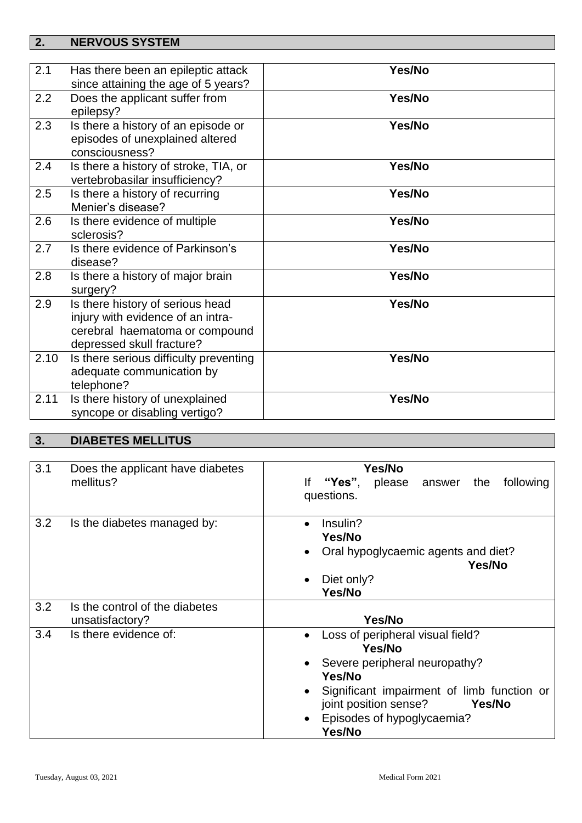### **2. NERVOUS SYSTEM**

| 2.1  | Has there been an epileptic attack                                                                                                   | Yes/No |
|------|--------------------------------------------------------------------------------------------------------------------------------------|--------|
|      | since attaining the age of 5 years?                                                                                                  |        |
| 2.2  | Does the applicant suffer from<br>epilepsy?                                                                                          | Yes/No |
| 2.3  | Is there a history of an episode or<br>episodes of unexplained altered                                                               | Yes/No |
|      | consciousness?                                                                                                                       |        |
| 2.4  | Is there a history of stroke, TIA, or<br>vertebrobasilar insufficiency?                                                              | Yes/No |
| 2.5  | Is there a history of recurring<br>Menier's disease?                                                                                 | Yes/No |
| 2.6  | Is there evidence of multiple<br>sclerosis?                                                                                          | Yes/No |
| 2.7  | Is there evidence of Parkinson's<br>disease?                                                                                         | Yes/No |
| 2.8  | Is there a history of major brain<br>surgery?                                                                                        | Yes/No |
| 2.9  | Is there history of serious head<br>injury with evidence of an intra-<br>cerebral haematoma or compound<br>depressed skull fracture? | Yes/No |
| 2.10 | Is there serious difficulty preventing<br>adequate communication by<br>telephone?                                                    | Yes/No |
| 2.11 | Is there history of unexplained<br>syncope or disabling vertigo?                                                                     | Yes/No |

## **3. DIABETES MELLITUS**

| 3.1 | Does the applicant have diabetes<br>mellitus?     | Yes/No<br>please<br>"Yes",<br>following<br>lf<br>answer the<br>questions.                                                                                                                                                                                  |
|-----|---------------------------------------------------|------------------------------------------------------------------------------------------------------------------------------------------------------------------------------------------------------------------------------------------------------------|
| 3.2 | Is the diabetes managed by:                       | Insulin?<br>$\bullet$<br>Yes/No<br>Oral hypoglycaemic agents and diet?<br>$\bullet$<br>Yes/No<br>Diet only?<br>$\bullet$<br>Yes/No                                                                                                                         |
| 3.2 | Is the control of the diabetes<br>unsatisfactory? | Yes/No                                                                                                                                                                                                                                                     |
| 3.4 | Is there evidence of:                             | Loss of peripheral visual field?<br>$\bullet$<br>Yes/No<br>Severe peripheral neuropathy?<br>$\bullet$<br>Yes/No<br>Significant impairment of limb function or<br>٠<br>joint position sense?<br>Yes/No<br>Episodes of hypoglycaemia?<br>$\bullet$<br>Yes/No |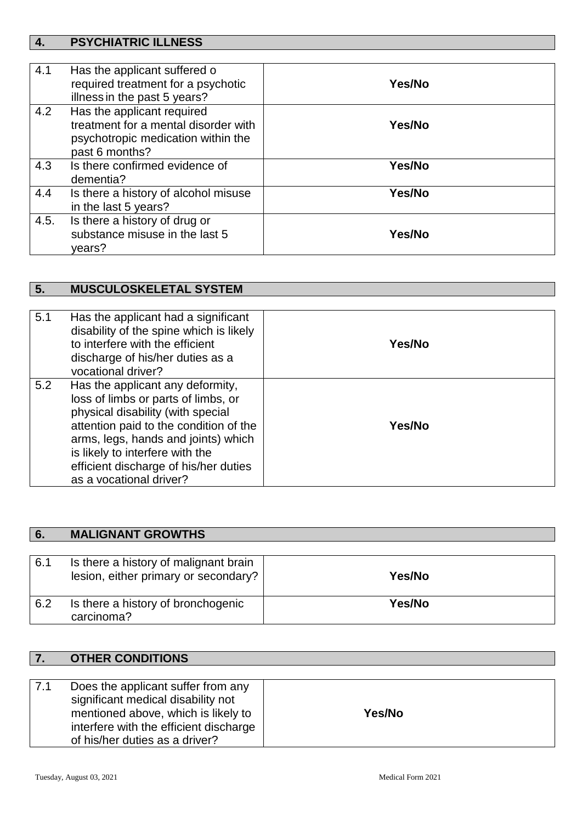# **4. PSYCHIATRIC ILLNESS**

| 4.1  | Has the applicant suffered o<br>required treatment for a psychotic<br>illness in the past 5 years?                         | Yes/No |
|------|----------------------------------------------------------------------------------------------------------------------------|--------|
| 4.2  | Has the applicant required<br>treatment for a mental disorder with<br>psychotropic medication within the<br>past 6 months? | Yes/No |
| 4.3  | Is there confirmed evidence of<br>dementia?                                                                                | Yes/No |
| 4.4  | Is there a history of alcohol misuse<br>in the last 5 years?                                                               | Yes/No |
| 4.5. | Is there a history of drug or<br>substance misuse in the last 5<br>vears?                                                  | Yes/No |

## **5. MUSCULOSKELETAL SYSTEM**

| 5.1 | Has the applicant had a significant<br>disability of the spine which is likely<br>to interfere with the efficient<br>discharge of his/her duties as a<br>vocational driver?                                                                                                                          | Yes/No |
|-----|------------------------------------------------------------------------------------------------------------------------------------------------------------------------------------------------------------------------------------------------------------------------------------------------------|--------|
| 5.2 | Has the applicant any deformity,<br>loss of limbs or parts of limbs, or<br>physical disability (with special<br>attention paid to the condition of the<br>arms, legs, hands and joints) which<br>is likely to interfere with the<br>efficient discharge of his/her duties<br>as a vocational driver? | Yes/No |

| 6.  | <b>MALIGNANT GROWTHS</b>                         |        |
|-----|--------------------------------------------------|--------|
| 6.1 | Is there a history of malignant brain            |        |
|     | lesion, either primary or secondary?             | Yes/No |
| 6.2 | Is there a history of bronchogenic<br>carcinoma? | Yes/No |

### **7. OTHER CONDITIONS**

| Does the applicant suffer from any<br>17.1<br>significant medical disability not<br>mentioned above, which is likely to<br>interfere with the efficient discharge<br>of his/her duties as a driver? | Yes/No |
|-----------------------------------------------------------------------------------------------------------------------------------------------------------------------------------------------------|--------|
|-----------------------------------------------------------------------------------------------------------------------------------------------------------------------------------------------------|--------|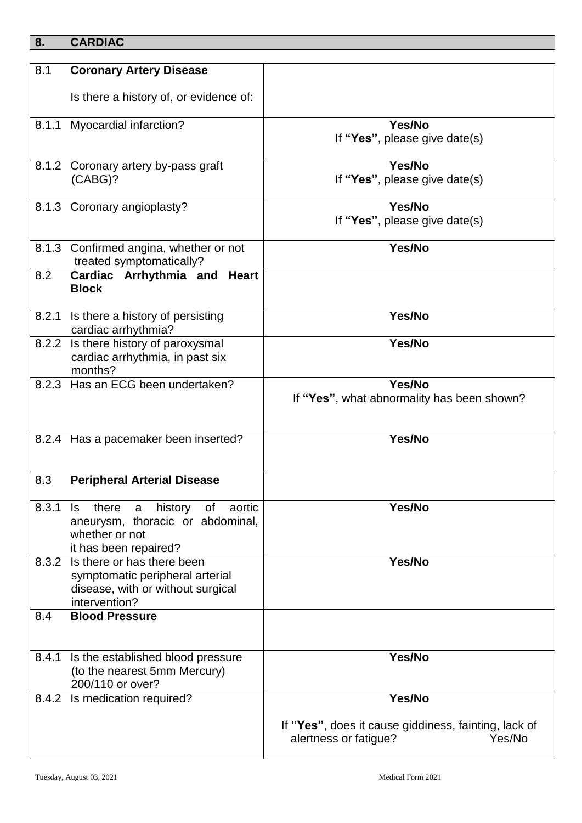### **8. CARDIAC**

| 8.1   | <b>Coronary Artery Disease</b>                                     |                                                                                         |
|-------|--------------------------------------------------------------------|-----------------------------------------------------------------------------------------|
|       | Is there a history of, or evidence of:                             |                                                                                         |
| 8.1.1 | Myocardial infarction?                                             | Yes/No                                                                                  |
|       |                                                                    | If "Yes", please give date(s)                                                           |
|       | 8.1.2 Coronary artery by-pass graft                                | Yes/No                                                                                  |
|       | (CABG)?                                                            | If "Yes", please give date(s)                                                           |
|       | 8.1.3 Coronary angioplasty?                                        | Yes/No                                                                                  |
|       |                                                                    | If "Yes", please give date(s)                                                           |
|       | 8.1.3 Confirmed angina, whether or not<br>treated symptomatically? | Yes/No                                                                                  |
| 8.2   | Cardiac Arrhythmia and Heart<br><b>Block</b>                       |                                                                                         |
| 8.2.1 | Is there a history of persisting<br>cardiac arrhythmia?            | Yes/No                                                                                  |
|       | 8.2.2 Is there history of paroxysmal                               | Yes/No                                                                                  |
|       | cardiac arrhythmia, in past six<br>months?                         |                                                                                         |
|       | 8.2.3 Has an ECG been undertaken?                                  | Yes/No                                                                                  |
|       |                                                                    | If "Yes", what abnormality has been shown?                                              |
|       | 8.2.4 Has a pacemaker been inserted?                               | Yes/No                                                                                  |
| 8.3   | <b>Peripheral Arterial Disease</b>                                 |                                                                                         |
| 8.3.1 | history<br>there<br>aortic<br>a<br>of<br>ls.                       | Yes/No                                                                                  |
|       | aneurysm, thoracic or abdominal,                                   |                                                                                         |
|       | whether or not<br>it has been repaired?                            |                                                                                         |
| 8.3.2 | Is there or has there been                                         | Yes/No                                                                                  |
|       | symptomatic peripheral arterial                                    |                                                                                         |
|       | disease, with or without surgical                                  |                                                                                         |
| 8.4   | intervention?<br><b>Blood Pressure</b>                             |                                                                                         |
|       |                                                                    |                                                                                         |
| 8.4.1 | Is the established blood pressure                                  | Yes/No                                                                                  |
|       | (to the nearest 5mm Mercury)                                       |                                                                                         |
|       | 200/110 or over?                                                   |                                                                                         |
|       | 8.4.2 Is medication required?                                      | Yes/No                                                                                  |
|       |                                                                    | If "Yes", does it cause giddiness, fainting, lack of<br>alertness or fatigue?<br>Yes/No |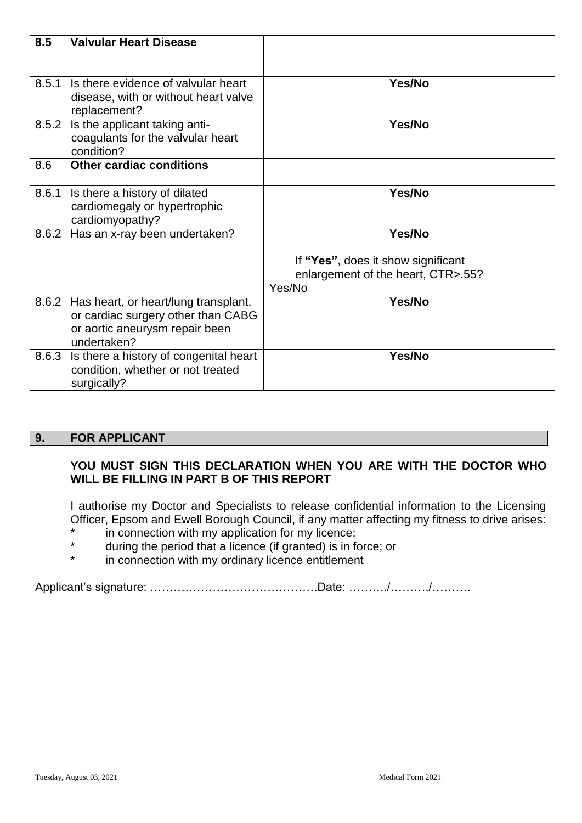| 8.5   | <b>Valvular Heart Disease</b>                                                                                                     |                                                                          |
|-------|-----------------------------------------------------------------------------------------------------------------------------------|--------------------------------------------------------------------------|
|       |                                                                                                                                   |                                                                          |
| 8.5.1 | Is there evidence of valvular heart<br>disease, with or without heart valve<br>replacement?                                       | Yes/No                                                                   |
| 8.5.2 | Is the applicant taking anti-<br>coagulants for the valvular heart<br>condition?                                                  | Yes/No                                                                   |
| 8.6   | <b>Other cardiac conditions</b>                                                                                                   |                                                                          |
| 8.6.1 | Is there a history of dilated<br>cardiomegaly or hypertrophic<br>cardiomyopathy?                                                  | Yes/No                                                                   |
| 8.6.2 | Has an x-ray been undertaken?                                                                                                     | Yes/No                                                                   |
|       |                                                                                                                                   | If "Yes", does it show significant<br>enlargement of the heart, CTR>.55? |
|       |                                                                                                                                   | Yes/No                                                                   |
|       | 8.6.2 Has heart, or heart/lung transplant,<br>or cardiac surgery other than CABG<br>or aortic aneurysm repair been<br>undertaken? | Yes/No                                                                   |
| 8.6.3 | Is there a history of congenital heart<br>condition, whether or not treated<br>surgically?                                        | Yes/No                                                                   |

#### **9. FOR APPLICANT**

#### **YOU MUST SIGN THIS DECLARATION WHEN YOU ARE WITH THE DOCTOR WHO WILL BE FILLING IN PART B OF THIS REPORT**

I authorise my Doctor and Specialists to release confidential information to the Licensing Officer, Epsom and Ewell Borough Council, if any matter affecting my fitness to drive arises:

- \* in connection with my application for my licence;
- \* during the period that a licence (if granted) is in force; or<br>\* in connection with my ordinary licence ontitlement
- in connection with my ordinary licence entitlement

Applicant's signature: …………………………………….Date: ………./………./……….